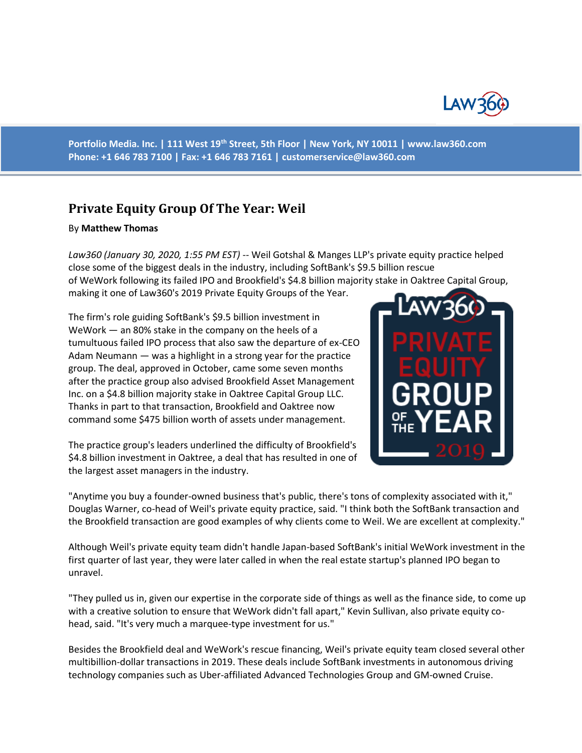

**Portfolio Media. Inc. | 111 West 19th Street, 5th Floor | New York, NY 10011 | www.law360.com Phone: +1 646 783 7100 | Fax: +1 646 783 7161 | [customerservice@law360.com](mailto:customerservice@law360.com)**

## **Private Equity Group Of The Year: Weil**

## By **Matthew Thomas**

*Law360 (January 30, 2020, 1:55 PM EST)* -- Weil Gotshal & Manges LLP's private equity practice helped close some of the biggest deals in the industry, including SoftBank's \$9.5 billion rescue of WeWork following its failed IPO and Brookfield's \$4.8 billion majority stake in Oaktree Capital Group, making it one of Law360's 2019 Private Equity Groups of the Year.

The firm's role guiding SoftBank's \$9.5 billion investment in WeWork — an 80% stake in the company on the heels of a tumultuous failed IPO process that also saw the departure of ex-CEO Adam Neumann — was a highlight in a strong year for the practice group. The deal, approved in October, came some seven months after the practice group also advised Brookfield Asset Management Inc. on a \$4.8 billion majority stake in Oaktree Capital Group LLC. Thanks in part to that transaction, Brookfield and Oaktree now command some \$475 billion worth of assets under management.

The practice group's leaders underlined the difficulty of Brookfield's \$4.8 billion investment in Oaktree, a deal that has resulted in one of the largest asset managers in the industry.



"Anytime you buy a founder-owned business that's public, there's tons of complexity associated with it," Douglas Warner, co-head of Weil's private equity practice, said. "I think both the SoftBank transaction and the Brookfield transaction are good examples of why clients come to Weil. We are excellent at complexity."

Although Weil's private equity team didn't handle Japan-based SoftBank's initial WeWork investment in the first quarter of last year, they were later called in when the real estate startup's planned IPO began to unravel.

"They pulled us in, given our expertise in the corporate side of things as well as the finance side, to come up with a creative solution to ensure that WeWork didn't fall apart," Kevin Sullivan, also private equity cohead, said. "It's very much a marquee-type investment for us."

Besides the Brookfield deal and WeWork's rescue financing, Weil's private equity team closed several other multibillion-dollar transactions in 2019. These deals include SoftBank investments in autonomous driving technology companies such as Uber-affiliated Advanced Technologies Group and GM-owned Cruise.